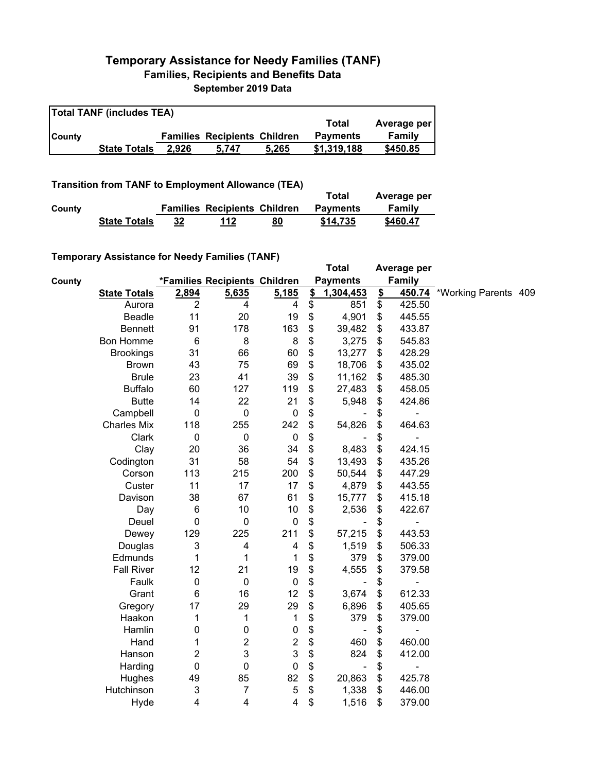## **Temporary Assistance for Needy Families (TANF) Families, Recipients and Benefits Data September 2019 Data**

| <b>Total TANF (includes TEA)</b> |                     |       |                                     |       |                 |             |  |  |  |
|----------------------------------|---------------------|-------|-------------------------------------|-------|-----------------|-------------|--|--|--|
|                                  |                     |       |                                     |       | Total           | Average per |  |  |  |
| <b>ICounty</b>                   |                     |       | <b>Families Recipients Children</b> |       | <b>Payments</b> | Family      |  |  |  |
|                                  | <b>State Totals</b> | 2.926 | 5.747                               | 5.265 | \$1,319,188     | \$450.85    |  |  |  |

## **Transition from TANF to Employment Allowance (TEA)**

|        | <b>Transition from TANF to Employment Allowance (TEA)</b> | Total | Average per                         |    |                 |          |
|--------|-----------------------------------------------------------|-------|-------------------------------------|----|-----------------|----------|
| County |                                                           |       | <b>Families Recipients Children</b> |    | <b>Payments</b> | Family   |
|        | <b>State Totals</b>                                       | 32    | 112                                 | 80 | \$14.735        | \$460.47 |

## **Temporary Assistance for Needy Families (TANF)**

|        | $1$ chiporury Abbiblianoc for Nobely Familico (TANT) |                |                               |                  |               | <b>Total</b>    |               | Average per   |                      |  |
|--------|------------------------------------------------------|----------------|-------------------------------|------------------|---------------|-----------------|---------------|---------------|----------------------|--|
| County |                                                      |                | *Families Recipients Children |                  |               | <b>Payments</b> |               | <b>Family</b> |                      |  |
|        | <b>State Totals</b>                                  | 2,894          | 5,635                         | 5,185            | $\frac{2}{2}$ | 1,304,453       | $\frac{2}{3}$ | 450.74        | *Working Parents 409 |  |
|        | Aurora                                               | $\overline{2}$ | 4                             | 4                | \$            | 851             | \$            | 425.50        |                      |  |
|        | Beadle                                               | 11             | 20                            | 19               | \$            | 4,901           | \$            | 445.55        |                      |  |
|        | <b>Bennett</b>                                       | 91             | 178                           | 163              | \$            | 39,482          | \$            | 433.87        |                      |  |
|        | <b>Bon Homme</b>                                     | 6              | 8                             | 8                | \$            | 3,275           | \$            | 545.83        |                      |  |
|        | <b>Brookings</b>                                     | 31             | 66                            | 60               | \$            | 13,277          | \$            | 428.29        |                      |  |
|        | <b>Brown</b>                                         | 43             | 75                            | 69               | \$            | 18,706          | \$            | 435.02        |                      |  |
|        | <b>Brule</b>                                         | 23             | 41                            | 39               | \$            | 11,162          | \$            | 485.30        |                      |  |
|        | <b>Buffalo</b>                                       | 60             | 127                           | 119              | \$            | 27,483          | \$            | 458.05        |                      |  |
|        | <b>Butte</b>                                         | 14             | 22                            | 21               | \$            | 5,948           | \$            | 424.86        |                      |  |
|        | Campbell                                             | 0              | $\pmb{0}$                     | $\pmb{0}$        | \$            |                 | \$            |               |                      |  |
|        | <b>Charles Mix</b>                                   | 118            | 255                           | 242              | \$            | 54,826          | \$            | 464.63        |                      |  |
|        | Clark                                                | 0              | $\pmb{0}$                     | $\pmb{0}$        | \$            |                 | \$            |               |                      |  |
|        | Clay                                                 | 20             | 36                            | 34               | \$            | 8,483           | \$            | 424.15        |                      |  |
|        | Codington                                            | 31             | 58                            | 54               | \$            | 13,493          | \$            | 435.26        |                      |  |
|        | Corson                                               | 113            | 215                           | 200              | \$            | 50,544          | \$            | 447.29        |                      |  |
|        | Custer                                               | 11             | 17                            | 17               | \$            | 4,879           | \$            | 443.55        |                      |  |
|        | Davison                                              | 38             | 67                            | 61               | \$            | 15,777          | \$            | 415.18        |                      |  |
|        | Day                                                  | 6              | 10                            | 10               | \$            | 2,536           | \$            | 422.67        |                      |  |
|        | Deuel                                                | 0              | 0                             | $\boldsymbol{0}$ | \$            |                 | \$            |               |                      |  |
|        | Dewey                                                | 129            | 225                           | 211              | \$            | 57,215          | \$            | 443.53        |                      |  |
|        | Douglas                                              | 3              | 4                             | 4                | \$            | 1,519           | \$            | 506.33        |                      |  |
|        | Edmunds                                              | 1              | 1                             | 1                | \$            | 379             | \$            | 379.00        |                      |  |
|        | <b>Fall River</b>                                    | 12             | 21                            | 19               | \$            | 4,555           | \$            | 379.58        |                      |  |
|        | Faulk                                                | 0              | 0                             | $\pmb{0}$        | \$            |                 | \$            |               |                      |  |
|        | Grant                                                | 6              | 16                            | 12               | \$            | 3,674           | \$            | 612.33        |                      |  |
|        | Gregory                                              | 17             | 29                            | 29               | \$            | 6,896           | \$            | 405.65        |                      |  |
|        | Haakon                                               | 1              | 1                             | 1                | \$            | 379             | \$            | 379.00        |                      |  |
|        | Hamlin                                               | 0              | 0                             | $\pmb{0}$        | \$            |                 | \$            |               |                      |  |
|        | Hand                                                 | 1              | $\overline{c}$                | $\boldsymbol{2}$ | \$            | 460             | \$            | 460.00        |                      |  |
|        | Hanson                                               | 2              | 3                             | 3                | \$            | 824             | \$            | 412.00        |                      |  |
|        | Harding                                              | 0              | 0                             | $\pmb{0}$        | \$            | $\blacksquare$  | \$            |               |                      |  |
|        | Hughes                                               | 49             | 85                            | 82               | \$            | 20,863          | \$            | 425.78        |                      |  |
|        | Hutchinson                                           | 3              | $\overline{7}$                | $\mathbf 5$      | \$            | 1,338           | \$            | 446.00        |                      |  |
|        | Hyde                                                 | 4              | 4                             | 4                | \$            | 1,516           | \$            | 379.00        |                      |  |